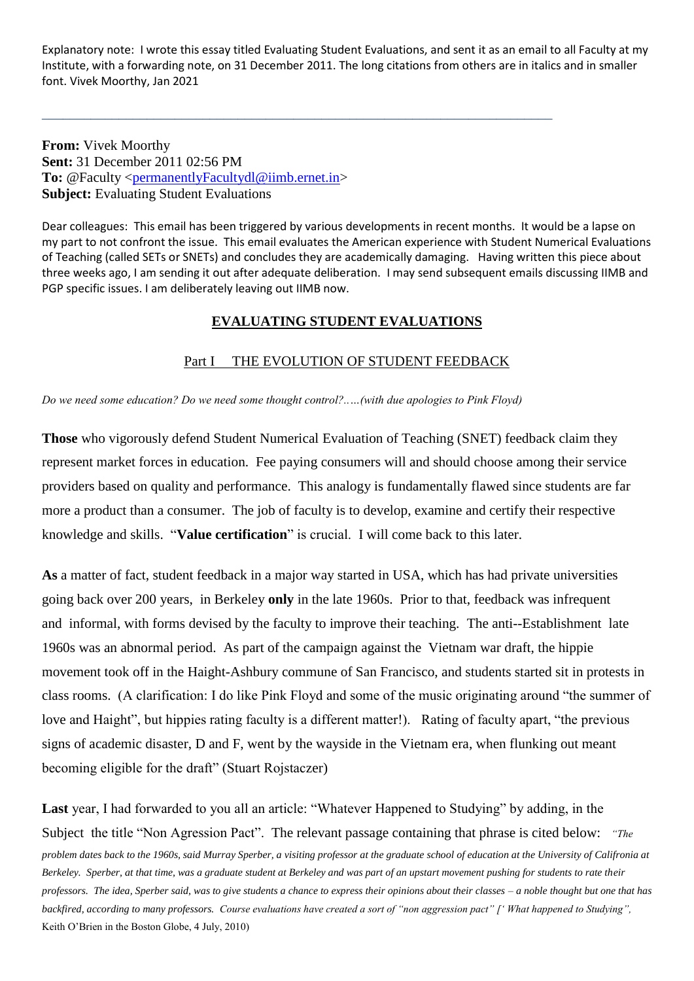Explanatory note: I wrote this essay titled Evaluating Student Evaluations, and sent it as an email to all Faculty at my Institute, with a forwarding note, on 31 December 2011. The long citations from others are in italics and in smaller font. Vivek Moorthy, Jan 2021

\_\_\_\_\_\_\_\_\_\_\_\_\_\_\_\_\_\_\_\_\_\_\_\_\_\_\_\_\_\_\_\_\_\_\_\_\_\_\_\_\_\_\_\_\_\_\_\_\_\_\_\_\_\_\_\_\_\_\_\_\_\_\_\_\_\_\_\_\_\_\_\_\_

**From:** Vivek Moorthy **Sent:** 31 December 2011 02:56 PM **To:** @Faculty [<permanentlyFacultydl@iimb.ernet.in>](mailto:permanentlyFacultydl@iimb.ernet.in) **Subject:** Evaluating Student Evaluations

Dear colleagues: This email has been triggered by various developments in recent months. It would be a lapse on my part to not confront the issue. This email evaluates the American experience with Student Numerical Evaluations of Teaching (called SETs or SNETs) and concludes they are academically damaging. Having written this piece about three weeks ago, I am sending it out after adequate deliberation. I may send subsequent emails discussing IIMB and PGP specific issues. I am deliberately leaving out IIMB now.

# **EVALUATING STUDENT EVALUATIONS**

# Part I THE EVOLUTION OF STUDENT FEEDBACK

*Do we need some education? Do we need some thought control?..…(with due apologies to Pink Floyd)* 

**Those** who vigorously defend Student Numerical Evaluation of Teaching (SNET) feedback claim they represent market forces in education. Fee paying consumers will and should choose among their service providers based on quality and performance. This analogy is fundamentally flawed since students are far more a product than a consumer. The job of faculty is to develop, examine and certify their respective knowledge and skills. "**Value certification**" is crucial. I will come back to this later.

**As** a matter of fact, student feedback in a major way started in USA, which has had private universities going back over 200 years, in Berkeley **only** in the late 1960s. Prior to that, feedback was infrequent and informal, with forms devised by the faculty to improve their teaching. The anti--Establishment late 1960s was an abnormal period. As part of the campaign against the Vietnam war draft, the hippie movement took off in the Haight-Ashbury commune of San Francisco, and students started sit in protests in class rooms. (A clarification: I do like Pink Floyd and some of the music originating around "the summer of love and Haight", but hippies rating faculty is a different matter!). Rating of faculty apart, "the previous signs of academic disaster, D and F, went by the wayside in the Vietnam era, when flunking out meant becoming eligible for the draft" (Stuart Rojstaczer)

**Last** year, I had forwarded to you all an article: "Whatever Happened to Studying" by adding, in the Subject the title "Non Agression Pact". The relevant passage containing that phrase is cited below: *"The problem dates back to the 1960s, said Murray Sperber, a visiting professor at the graduate school of education at the University of Califronia at Berkeley. Sperber, at that time, was a graduate student at Berkeley and was part of an upstart movement pushing for students to rate their professors. The idea, Sperber said, was to give students a chance to express their opinions about their classes – a noble thought but one that has backfired, according to many professors. Course evaluations have created a sort of "non aggression pact" [' What happened to Studying",*  Keith O'Brien in the Boston Globe, 4 July, 2010)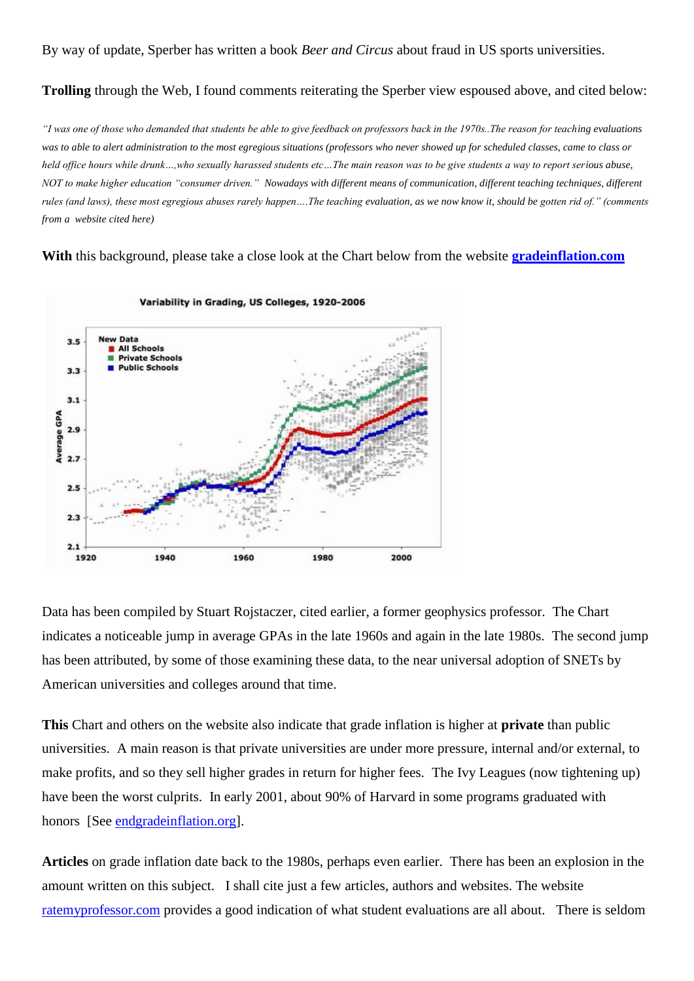By way of update, Sperber has written a book *Beer and Circus* about fraud in US sports universities.

## **Trolling** through the Web, I found comments reiterating the Sperber view espoused above, and cited below:

*"I was one of those who demanded that students be able to give feedback on professors back in the 1970s..The reason for teaching evaluations was to able to alert administration to the most egregious situations (professors who never showed up for scheduled classes, came to class or held office hours while drunk…,who sexually harassed students etc…The main reason was to be give students a way to report serious abuse, NOT to make higher education "consumer driven." Nowadays with different means of communication, different teaching techniques, different rules (and laws), these most egregious abuses rarely happen….The teaching evaluation, as we now know it, should be gotten rid of." (comments from a website cited here)* 

**With** this background, please take a close look at the Chart below from the website **[gradeinflation.com](http://gradeinflation.com/)**



Data has been compiled by Stuart Rojstaczer, cited earlier, a former geophysics professor. The Chart indicates a noticeable jump in average GPAs in the late 1960s and again in the late 1980s. The second jump has been attributed, by some of those examining these data, to the near universal adoption of SNETs by American universities and colleges around that time.

**This** Chart and others on the website also indicate that grade inflation is higher at **private** than public universities. A main reason is that private universities are under more pressure, internal and/or external, to make profits, and so they sell higher grades in return for higher fees. The Ivy Leagues (now tightening up) have been the worst culprits. In early 2001, about 90% of Harvard in some programs graduated with honors [See [endgradeinflation.org\]](http://endgradeinflation.org/).

**Articles** on grade inflation date back to the 1980s, perhaps even earlier. There has been an explosion in the amount written on this subject. I shall cite just a few articles, authors and websites. The website [ratemyprofessor.com](http://ratemyprofessor.com/) provides a good indication of what student evaluations are all about. There is seldom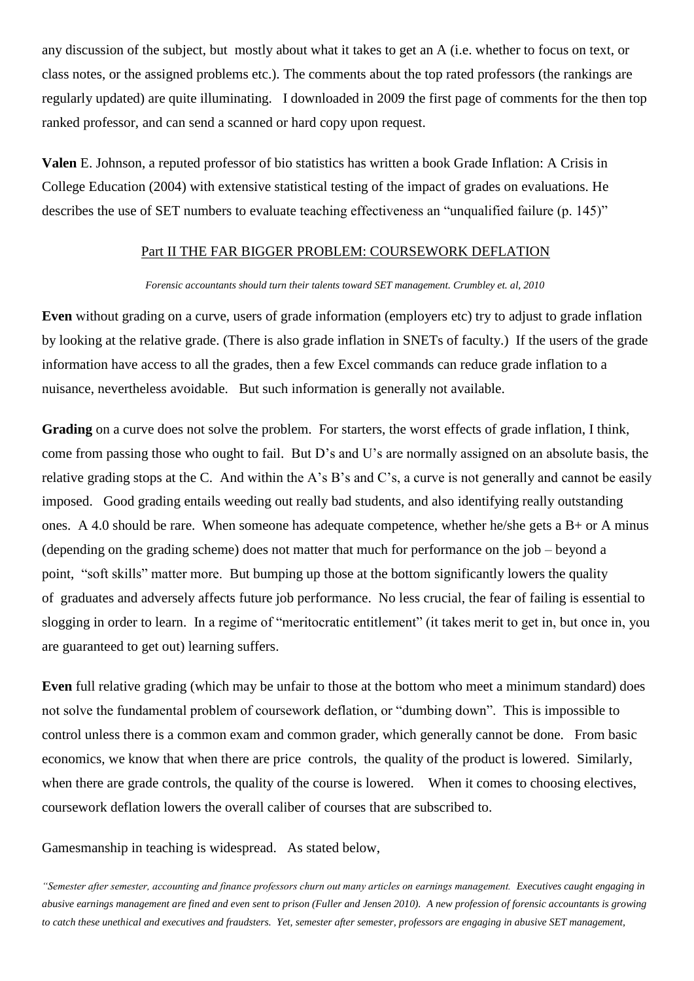any discussion of the subject, but mostly about what it takes to get an A (i.e. whether to focus on text, or class notes, or the assigned problems etc.). The comments about the top rated professors (the rankings are regularly updated) are quite illuminating. I downloaded in 2009 the first page of comments for the then top ranked professor, and can send a scanned or hard copy upon request.

**Valen** E. Johnson, a reputed professor of bio statistics has written a book Grade Inflation: A Crisis in College Education (2004) with extensive statistical testing of the impact of grades on evaluations. He describes the use of SET numbers to evaluate teaching effectiveness an "unqualified failure (p. 145)"

### Part II THE FAR BIGGER PROBLEM: COURSEWORK DEFLATION

#### *Forensic accountants should turn their talents toward SET management. Crumbley et. al, 2010*

**Even** without grading on a curve, users of grade information (employers etc) try to adjust to grade inflation by looking at the relative grade. (There is also grade inflation in SNETs of faculty.) If the users of the grade information have access to all the grades, then a few Excel commands can reduce grade inflation to a nuisance, nevertheless avoidable. But such information is generally not available.

**Grading** on a curve does not solve the problem. For starters, the worst effects of grade inflation, I think, come from passing those who ought to fail. But D's and U's are normally assigned on an absolute basis, the relative grading stops at the C. And within the A's B's and C's, a curve is not generally and cannot be easily imposed. Good grading entails weeding out really bad students, and also identifying really outstanding ones. A 4.0 should be rare. When someone has adequate competence, whether he/she gets a B+ or A minus (depending on the grading scheme) does not matter that much for performance on the job – beyond a point, "soft skills" matter more. But bumping up those at the bottom significantly lowers the quality of graduates and adversely affects future job performance. No less crucial, the fear of failing is essential to slogging in order to learn. In a regime of "meritocratic entitlement" (it takes merit to get in, but once in, you are guaranteed to get out) learning suffers.

**Even** full relative grading (which may be unfair to those at the bottom who meet a minimum standard) does not solve the fundamental problem of coursework deflation, or "dumbing down". This is impossible to control unless there is a common exam and common grader, which generally cannot be done. From basic economics, we know that when there are price controls, the quality of the product is lowered. Similarly, when there are grade controls, the quality of the course is lowered. When it comes to choosing electives, coursework deflation lowers the overall caliber of courses that are subscribed to.

Gamesmanship in teaching is widespread. As stated below,

*"Semester after semester, accounting and finance professors churn out many articles on earnings management. Executives caught engaging in abusive earnings management are fined and even sent to prison (Fuller and Jensen 2010). A new profession of forensic accountants is growing to catch these unethical and executives and fraudsters. Yet, semester after semester, professors are engaging in abusive SET management,*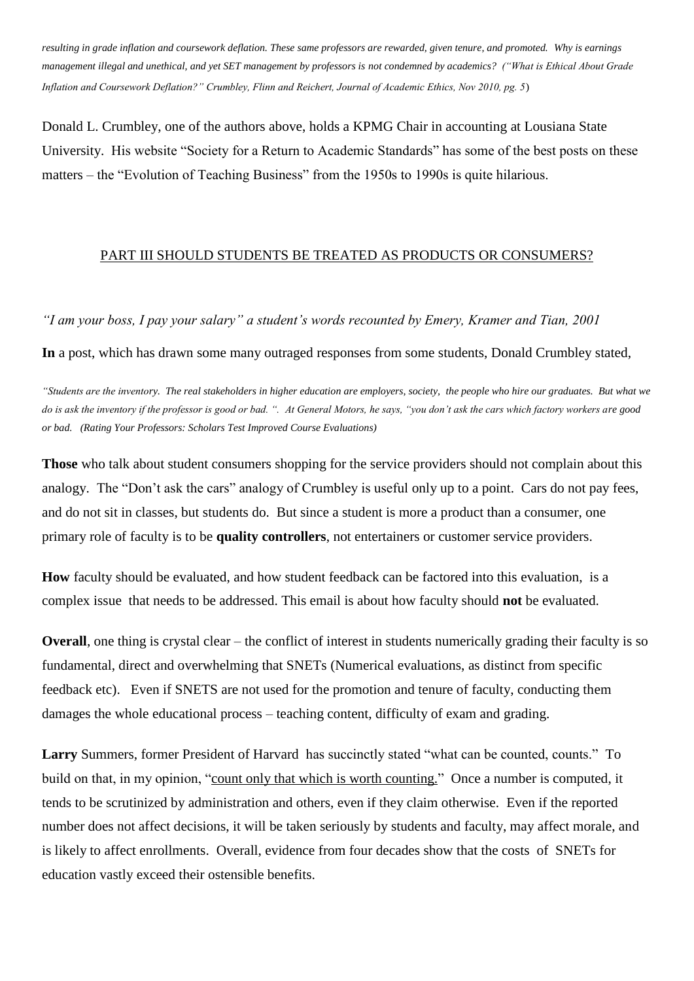*resulting in grade inflation and coursework deflation. These same professors are rewarded, given tenure, and promoted. Why is earnings management illegal and unethical, and yet SET management by professors is not condemned by academics? ("What is Ethical About Grade Inflation and Coursework Deflation?" Crumbley, Flinn and Reichert, Journal of Academic Ethics, Nov 2010, pg. 5*)

Donald L. Crumbley, one of the authors above, holds a KPMG Chair in accounting at Lousiana State University. His website "Society for a Return to Academic Standards" has some of the best posts on these matters – the "Evolution of Teaching Business" from the 1950s to 1990s is quite hilarious.

## PART III SHOULD STUDENTS BE TREATED AS PRODUCTS OR CONSUMERS?

*"I am your boss, I pay your salary" a student's words recounted by Emery, Kramer and Tian, 2001*

**In** a post, which has drawn some many outraged responses from some students, Donald Crumbley stated,

*"Students are the inventory. The real stakeholders in higher education are employers, society, the people who hire our graduates. But what we do is ask the inventory if the professor is good or bad. ". At General Motors, he says, "you don't ask the cars which factory workers are good or bad. (Rating Your Professors: Scholars Test Improved Course Evaluations)*

**Those** who talk about student consumers shopping for the service providers should not complain about this analogy. The "Don't ask the cars" analogy of Crumbley is useful only up to a point. Cars do not pay fees, and do not sit in classes, but students do. But since a student is more a product than a consumer, one primary role of faculty is to be **quality controllers**, not entertainers or customer service providers.

**How** faculty should be evaluated, and how student feedback can be factored into this evaluation, is a complex issue that needs to be addressed. This email is about how faculty should **not** be evaluated.

**Overall**, one thing is crystal clear – the conflict of interest in students numerically grading their faculty is so fundamental, direct and overwhelming that SNETs (Numerical evaluations, as distinct from specific feedback etc). Even if SNETS are not used for the promotion and tenure of faculty, conducting them damages the whole educational process – teaching content, difficulty of exam and grading.

**Larry** Summers, former President of Harvard has succinctly stated "what can be counted, counts." To build on that, in my opinion, "count only that which is worth counting." Once a number is computed, it tends to be scrutinized by administration and others, even if they claim otherwise. Even if the reported number does not affect decisions, it will be taken seriously by students and faculty, may affect morale, and is likely to affect enrollments. Overall, evidence from four decades show that the costs of SNETs for education vastly exceed their ostensible benefits.